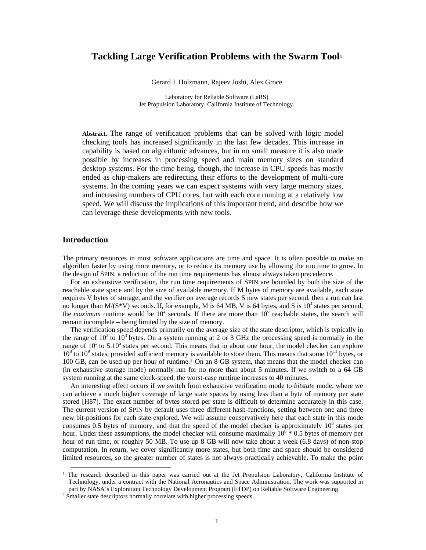# **Tackling Large Verification Problems with the Swarm Tool[1](#page-0-0)**

Gerard J. Holzmann, Rajeev Joshi, Alex Groce

Laboratory for Reliable Software (LaRS) Jet Propulsion Laboratory, California Institute of Technology.

**Abstract.** The range of verification problems that can be solved with logic model checking tools has increased significantly in the last few decades. This increase in capability is based on algorithmic advances, but in no small measure it is also made possible by increases in processing speed and main memory sizes on standard desktop systems. For the time being, though, the increase in CPU speeds has mostly ended as chip-makers are redirecting their efforts to the development of multi-core systems. In the coming years we can expect systems with very large memory sizes, and increasing numbers of CPU cores, but with each core running at a relatively low speed. We will discuss the implications of this important trend, and describe how we can leverage these developments with new tools.

## **Introduction**

The primary resources in most software applications are time and space. It is often possible to make an algorithm faster by using more memory, or to reduce its memory use by allowing the run time to grow. In the design of SPIN, a reduction of the run time requirements has almost always taken precedence.

For an exhaustive verification, the run time requirements of SPIN are bounded by both the size of the reachable state space and by the size of available memory. If M bytes of memory are available, each state requires V bytes of storage, and the verifier on average records S new states per second, then a run can last no longer than  $M/(S*V)$  seconds. If, for example, M is 64 MB, V is 64 bytes, and S is  $10^4$  states per second, the *maximum* runtime would be  $10^2$  seconds. If there are more than  $10^6$  reachable states, the search will remain incomplete – being limited by the size of memory.

The verification speed depends primarily on the average size of the state descriptor, which is typically in the range of  $10^2$  to  $10^3$  bytes. On a system running at 2 or 3 GHz the processing speed is normally in the range of  $10^5$  to  $5.10^5$  states per second. This means that in about one hour, the model checker can explore  $10^8$  to  $10^9$  states, provided sufficient memory is available to store them. This means that some  $10^{11}$  bytes, or 100 GB, can be used up per hour of runtime.[2](#page-0-1) On an 8 GB system, that means that the model checker can (in exhaustive storage mode) normally run for no more than about 5 minutes. If we switch to a 64 GB system running at the same clock-speed, the worst-case runtime increases to 40 minutes.

An interesting effect occurs if we switch from exhaustive verification mode to *bitstate* mode, where we can achieve a much higher coverage of large state spaces by using less than a byte of memory per state stored [H87]. The exact number of bytes stored per state is difficult to determine accurately in this case. The current version of SPIN by default uses three different hash-functions, setting between one and three new bit-positions for each state explored. We will assume conservatively here that each state in this mode consumes 0.5 bytes of memory, and that the speed of the model checker is approximately  $10^8$  states per hour. Under these assumptions, the model checker will consume maximally  $10^8 * 0.5$  bytes of memory per hour of run time, or roughly 50 MB. To use up 8 GB will now take about a week (6.8 days) of non-stop computation. In return, we cover significantly more states, but both time and space should be considered limited resources, so the greater number of states is not always practically achievable. To make the point

<span id="page-0-0"></span> $1$  The research described in this paper was carried out at the Jet Propulsion Laboratory, California Institute of Technology, under a contract with the National Aeronautics and Space Administration. The work was supported in part by NASA's Exploration Technology Development Program (ETDP) on Reliable Software Engineering. 2 Smaller state descriptors normally correlate with higher processing speeds.

<span id="page-0-1"></span>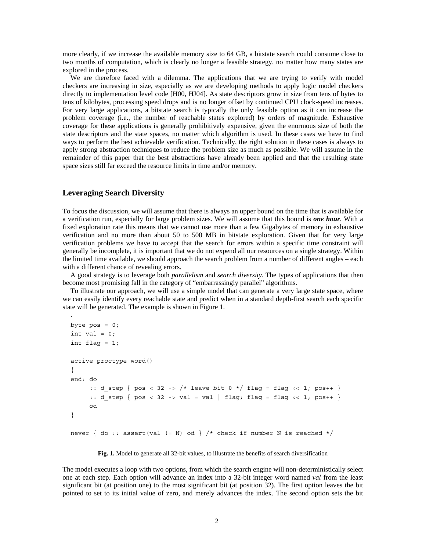more clearly, if we increase the available memory size to 64 GB, a bitstate search could consume close to two months of computation, which is clearly no longer a feasible strategy, no matter how many states are explored in the process.

We are therefore faced with a dilemma. The applications that we are trying to verify with model checkers are increasing in size, especially as we are developing methods to apply logic model checkers directly to implementation level code [H00, HJ04]. As state descriptors grow in size from tens of bytes to tens of kilobytes, processing speed drops and is no longer offset by continued CPU clock-speed increases. For very large applications, a bitstate search is typically the only feasible option as it can increase the problem coverage (i.e., the number of reachable states explored) by orders of magnitude. Exhaustive coverage for these applications is generally prohibitively expensive, given the enormous size of both the state descriptors and the state spaces, no matter which algorithm is used. In these cases we have to find ways to perform the best achievable verification. Technically, the right solution in these cases is always to apply strong abstraction techniques to reduce the problem size as much as possible. We will assume in the remainder of this paper that the best abstractions have already been applied and that the resulting state space sizes still far exceed the resource limits in time and/or memory.

## **Leveraging Search Diversity**

.

To focus the discussion, we will assume that there is always an upper bound on the time that is available for a verification run, especially for large problem sizes. We will assume that this bound is *one hour*. With a fixed exploration rate this means that we cannot use more than a few Gigabytes of memory in exhaustive verification and no more than about 50 to 500 MB in bitstate exploration. Given that for very large verification problems we have to accept that the search for errors within a specific time constraint will generally be incomplete, it is important that we do not expend all our resources on a single strategy. Within the limited time available, we should approach the search problem from a number of different angles – each with a different chance of revealing errors.

A good strategy is to leverage both *parallelism* and *search diversity*. The types of applications that then become most promising fall in the category of "embarrassingly parallel" algorithms.

To illustrate our approach, we will use a simple model that can generate a very large state space, where we can easily identify every reachable state and predict when in a standard depth-first search each specific state will be generated. The example is shown in Figure 1.

```
byte pos = 0;int val = 0;
int flaq = 1;
active proctype word() 
{ 
end: do 
     :: d step { pos < 32 -> /* leave bit 0 */ flag = flag << 1; pos++ }
     :: d step { pos < 32 -> val = val | flag; flag = flag << 1; pos++ }
      od 
} 
never { do :: assert (val != N) od } /* check if number N is reached */
```
**Fig. 1.** Model to generate all 32-bit values, to illustrate the benefits of search diversification

The model executes a loop with two options, from which the search engine will non-deterministically select one at each step. Each option will advance an index into a 32-bit integer word named *val* from the least significant bit (at position one) to the most significant bit (at position 32). The first option leaves the bit pointed to set to its initial value of zero, and merely advances the index. The second option sets the bit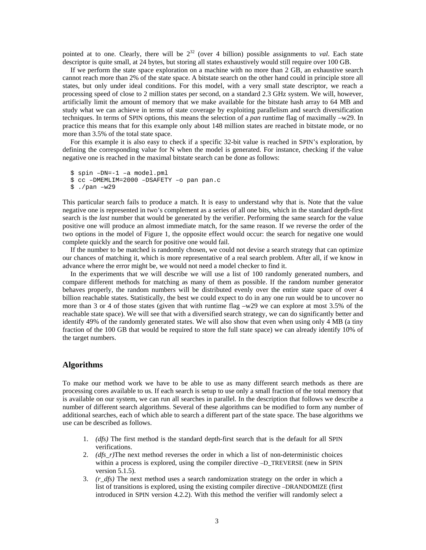pointed at to one. Clearly, there will be  $2^{32}$  (over 4 billion) possible assignments to *val*. Each state descriptor is quite small, at 24 bytes, but storing all states exhaustively would still require over 100 GB.

If we perform the state space exploration on a machine with no more than 2 GB, an exhaustive search cannot reach more than 2% of the state space. A bitstate search on the other hand could in principle store all states, but only under ideal conditions. For this model, with a very small state descriptor, we reach a processing speed of close to 2 million states per second, on a standard 2.3 GHz system. We will, however, artificially limit the amount of memory that we make available for the bitstate hash array to 64 MB and study what we can achieve in terms of state coverage by exploiting parallelism and search diversification techniques. In terms of SPIN options, this means the selection of a *pan* runtime flag of maximally –w29. In practice this means that for this example only about 148 million states are reached in bitstate mode, or no more than 3.5% of the total state space.

For this example it is also easy to check if a specific 32-bit value is reached in SPIN's exploration, by defining the corresponding value for N when the model is generated. For instance, checking if the value negative one is reached in the maximal bitstate search can be done as follows:

```
$ spin –DN=-1 –a model.pml 
$ cc –DMEMLIM=2000 –DSAFETY –o pan pan.c 
$ ./pan –w29
```
This particular search fails to produce a match. It is easy to understand why that is. Note that the value negative one is represented in two's complement as a series of all one bits, which in the standard depth-first search is the *last* number that would be generated by the verifier. Performing the same search for the value positive one will produce an almost immediate match, for the same reason. If we reverse the order of the two options in the model of Figure 1, the opposite effect would occur: the search for negative one would complete quickly and the search for positive one would fail.

If the number to be matched is randomly chosen, we could not devise a search strategy that can optimize our chances of matching it, which is more representative of a real search problem. After all, if we know in advance where the error might be, we would not need a model checker to find it.

In the experiments that we will describe we will use a list of 100 randomly generated numbers, and compare different methods for matching as many of them as possible. If the random number generator behaves properly, the random numbers will be distributed evenly over the entire state space of over 4 billion reachable states. Statistically, the best we could expect to do in any one run would be to uncover no more than 3 or 4 of those states (given that with runtime flag –w29 we can explore at most 3.5% of the reachable state space). We will see that with a diversified search strategy, we can do significantly better and identify 49% of the randomly generated states. We will also show that even when using only 4 MB (a tiny fraction of the 100 GB that would be required to store the full state space) we can already identify 10% of the target numbers.

### **Algorithms**

To make our method work we have to be able to use as many different search methods as there are processing cores available to us. If each search is setup to use only a small fraction of the total memory that is available on our system, we can run all searches in parallel. In the description that follows we describe a number of different search algorithms. Several of these algorithms can be modified to form any number of additional searches, each of which able to search a different part of the state space. The base algorithms we use can be described as follows.

- 1. *(dfs)* The first method is the standard depth-first search that is the default for all SPIN verifications.
- 2. *(dfs r)*The next method reverses the order in which a list of non-deterministic choices within a process is explored, using the compiler directive –D\_TREVERSE (new in SPIN version 5.1.5).
- 3. *(r\_dfs)* The next method uses a search randomization strategy on the order in which a list of transitions is explored, using the existing compiler directive –DRANDOMIZE (first introduced in SPIN version 4.2.2). With this method the verifier will randomly select a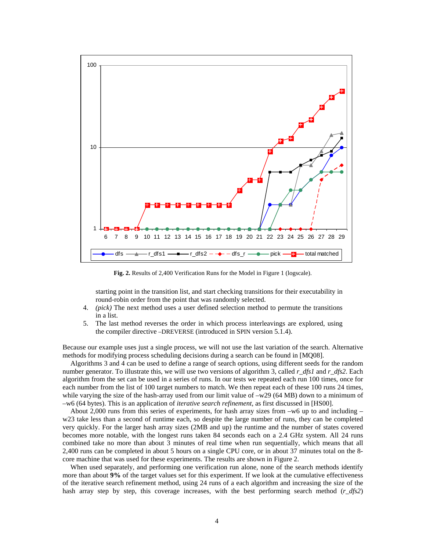

**Fig. 2.** Results of 2,400 Verification Runs for the Model in Figure 1 (logscale).

starting point in the transition list, and start checking transitions for their executability in round-robin order from the point that was randomly selected.

- 4. *(pick)* The next method uses a user defined selection method to permute the transitions in a list.
- 5. The last method reverses the order in which process interleavings are explored, using the compiler directive –DREVERSE (introduced in SPIN version 5.1.4).

Because our example uses just a single process, we will not use the last variation of the search. Alternative methods for modifying process scheduling decisions during a search can be found in [MQ08].

Algorithms 3 and 4 can be used to define a range of search options, using different seeds for the random number generator. To illustrate this, we will use two versions of algorithm 3, called *r\_dfs1* and *r\_dfs2*. Each algorithm from the set can be used in a series of runs. In our tests we repeated each run 100 times, once for each number from the list of 100 target numbers to match. We then repeat each of these 100 runs 24 times, while varying the size of the hash-array used from our limit value of  $-w29$  (64 MB) down to a minimum of –w6 (64 bytes). This is an application of *iterative search refinement*, as first discussed in [HS00].

About 2,000 runs from this series of experiments, for hash array sizes from  $-w6$  up to and including – w23 take less than a second of runtime each, so despite the large number of runs, they can be completed very quickly. For the larger hash array sizes (2MB and up) the runtime and the number of states covered becomes more notable, with the longest runs taken 84 seconds each on a 2.4 GHz system. All 24 runs combined take no more than about 3 minutes of real time when run sequentially, which means that all 2,400 runs can be completed in about 5 hours on a single CPU core, or in about 37 minutes total on the 8 core machine that was used for these experiments. The results are shown in Figure 2.

When used separately, and performing one verification run alone, none of the search methods identify more than about **9%** of the target values set for this experiment. If we look at the cumulative effectiveness of the iterative search refinement method, using 24 runs of a each algorithm and increasing the size of the hash array step by step, this coverage increases, with the best performing search method (*r\_dfs2*)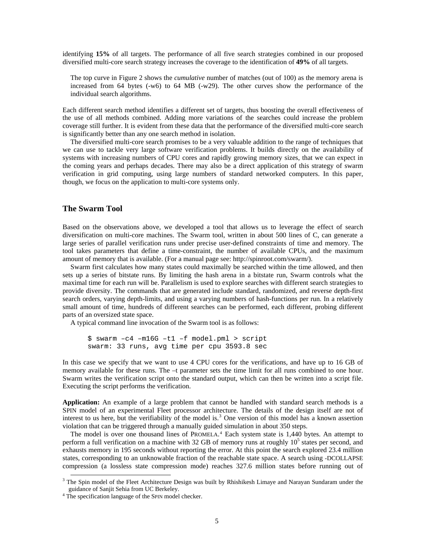identifying **15%** of all targets. The performance of all five search strategies combined in our proposed diversified multi-core search strategy increases the coverage to the identification of **49%** of all targets.

The top curve in Figure 2 shows the *cumulative* number of matches (out of 100) as the memory arena is increased from 64 bytes (-w6) to 64 MB (-w29). The other curves show the performance of the individual search algorithms.

Each different search method identifies a different set of targets, thus boosting the overall effectiveness of the use of all methods combined. Adding more variations of the searches could increase the problem coverage still further. It is evident from these data that the performance of the diversified multi-core search is significantly better than any one search method in isolation.

The diversified multi-core search promises to be a very valuable addition to the range of techniques that we can use to tackle very large software verification problems. It builds directly on the availability of systems with increasing numbers of CPU cores and rapidly growing memory sizes, that we can expect in the coming years and perhaps decades. There may also be a direct application of this strategy of swarm verification in grid computing, using large numbers of standard networked computers. In this paper, though, we focus on the application to multi-core systems only.

#### **The Swarm Tool**

Based on the observations above, we developed a tool that allows us to leverage the effect of search diversification on multi-core machines. The Swarm tool, written in about 500 lines of C, can generate a large series of parallel verification runs under precise user-defined constraints of time and memory. The tool takes parameters that define a time-constraint, the number of available CPUs, and the maximum amount of memory that is available. (For a manual page see: http://spinroot.com/swarm/).

Swarm first calculates how many states could maximally be searched within the time allowed, and then sets up a series of bitstate runs. By limiting the hash arena in a bitstate run, Swarm controls what the maximal time for each run will be. Parallelism is used to explore searches with different search strategies to provide diversity. The commands that are generated include standard, randomized, and reverse depth-first search orders, varying depth-limits, and using a varying numbers of hash-functions per run. In a relatively small amount of time, hundreds of different searches can be performed, each different, probing different parts of an oversized state space.

A typical command line invocation of the Swarm tool is as follows:

\$ swarm –c4 –m16G –t1 –f model.pml > script swarm: 33 runs, avg time per cpu 3593.8 sec

In this case we specify that we want to use 4 CPU cores for the verifications, and have up to 16 GB of memory available for these runs. The –t parameter sets the time limit for all runs combined to one hour. Swarm writes the verification script onto the standard output, which can then be written into a script file. Executing the script performs the verification.

**Application:** An example of a large problem that cannot be handled with standard search methods is a SPIN model of an experimental Fleet processor architecture. The details of the design itself are not of interest to us here, but the verifiability of the model is.<sup>[3](#page-4-0)</sup> One version of this model has a known assertion violation that can be triggered through a manually guided simulation in about 350 steps.

The model is over one thousand lines of PROMELA.[4](#page-4-1) Each system state is 1,440 bytes. An attempt to perform a full verification on a machine with 32 GB of memory runs at roughly  $10<sup>5</sup>$  states per second, and exhausts memory in 195 seconds without reporting the error. At this point the search explored 23.4 million states, corresponding to an unknowable fraction of the reachable state space. A search using -DCOLLAPSE compression (a lossless state compression mode) reaches 327.6 million states before running out of

<span id="page-4-0"></span><sup>&</sup>lt;sup>3</sup> The Spin model of the Fleet Architecture Design was built by Rhishikesh Limaye and Narayan Sundaram under the guidance of Sanjit Sehia from UC Berkeley. 4 The specification language of the SPIN model checker.

<span id="page-4-1"></span>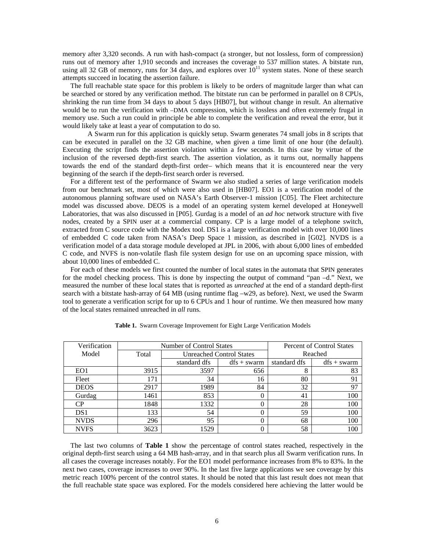memory after 3,320 seconds. A run with hash-compact (a stronger, but not lossless, form of compression) runs out of memory after 1,910 seconds and increases the coverage to 537 million states. A bitstate run, using all 32 GB of memory, runs for 34 days, and explores over  $10^{11}$  system states. None of these search attempts succeed in locating the assertion failure.

The full reachable state space for this problem is likely to be orders of magnitude larger than what can be searched or stored by any verification method. The bitstate run can be performed in parallel on 8 CPUs, shrinking the run time from 34 days to about 5 days [HB07], but without change in result. An alternative would be to run the verification with –DMA compression, which is lossless and often extremely frugal in memory use. Such a run could in principle be able to complete the verification and reveal the error, but it would likely take at least a year of computation to do so.

A Swarm run for this application is quickly setup. Swarm generates 74 small jobs in 8 scripts that can be executed in parallel on the 32 GB machine, when given a time limit of one hour (the default). Executing the script finds the assertion violation within a few seconds. In this case by virtue of the inclusion of the reversed depth-first search. The assertion violation, as it turns out, normally happens towards the end of the standard depth-first order– which means that it is encountered near the very beginning of the search if the depth-first search order is reversed.

For a different test of the performance of Swarm we also studied a series of large verification models from our benchmark set, most of which were also used in [HB07]. EO1 is a verification model of the autonomous planning software used on NASA's Earth Observer-1 mission [C05]. The Fleet architecture model was discussed above. DEOS is a model of an operating system kernel developed at Honeywell Laboratories, that was also discussed in [P05]. Gurdag is a model of an *ad hoc* network structure with five nodes, created by a SPIN user at a commercial company. CP is a large model of a telephone switch, extracted from C source code with the Modex tool. DS1 is a large verification model with over 10,000 lines of embedded C code taken from NASA's Deep Space 1 mission, as described in [G02]. NVDS is a verification model of a data storage module developed at JPL in 2006, with about 6,000 lines of embedded C code, and NVFS is non-volatile flash file system design for use on an upcoming space mission, with about 10,000 lines of embedded C.

For each of these models we first counted the number of local states in the automata that SPIN generates for the model checking process. This is done by inspecting the output of command "pan –d." Next, we measured the number of these local states that is reported as *unreached* at the end of a standard depth-first search with a bitstate hash-array of 64 MB (using runtime flag –w29, as before). Next, we used the Swarm tool to generate a verification script for up to 6 CPUs and 1 hour of runtime. We then measured how many of the local states remained unreached in *all* runs.

| Verification    | Number of Control States |                                 |               | Percent of Control States |               |
|-----------------|--------------------------|---------------------------------|---------------|---------------------------|---------------|
| Model           | Total                    | <b>Unreached Control States</b> |               | Reached                   |               |
|                 |                          | standard dfs                    | $dfs + swarm$ | standard dfs              | $dfs + swarm$ |
| EO1             | 3915                     | 3597                            | 656           | 8                         | 83            |
| Fleet           | 171                      | 34                              | 16            | 80                        | 91            |
| <b>DEOS</b>     | 2917                     | 1989                            | 84            | 32                        | 97            |
| Gurdag          | 1461                     | 853                             |               | 41                        | 100           |
| CP.             | 1848                     | 1332                            |               | 28                        | 100           |
| DS <sub>1</sub> | 133                      | 54                              |               | 59                        | 100           |
| <b>NVDS</b>     | 296                      | 95                              | 0             | 68                        | 100           |
| <b>NVFS</b>     | 3623                     | 1529                            |               | 58                        | 100           |

**Table 1.** Swarm Coverage Improvement for Eight Large Verification Models

The last two columns of **Table 1** show the percentage of control states reached, respectively in the original depth-first search using a 64 MB hash-array, and in that search plus all Swarm verification runs. In all cases the coverage increases notably. For the EO1 model performance increases from 8% to 83%. In the next two cases, coverage increases to over 90%. In the last five large applications we see coverage by this metric reach 100% percent of the control states. It should be noted that this last result does not mean that the full reachable state space was explored. For the models considered here achieving the latter would be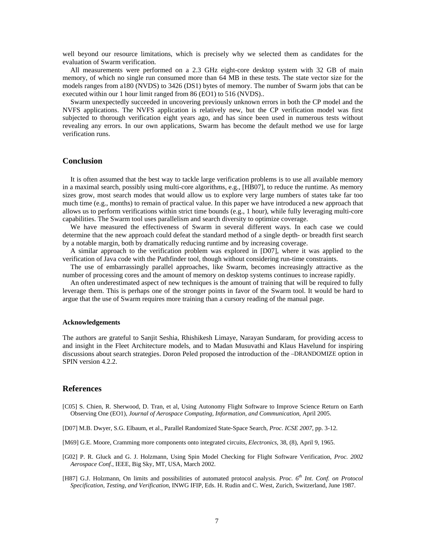well beyond our resource limitations, which is precisely why we selected them as candidates for the evaluation of Swarm verification.

All measurements were performed on a 2.3 GHz eight-core desktop system with 32 GB of main memory, of which no single run consumed more than 64 MB in these tests. The state vector size for the models ranges from a180 (NVDS) to 3426 (DS1) bytes of memory. The number of Swarm jobs that can be executed within our 1 hour limit ranged from 86 (EO1) to 516 (NVDS)...

Swarm unexpectedly succeeded in uncovering previously unknown errors in both the CP model and the NVFS applications. The NVFS application is relatively new, but the CP verification model was first subjected to thorough verification eight years ago, and has since been used in numerous tests without revealing any errors. In our own applications, Swarm has become the default method we use for large verification runs.

## **Conclusion**

It is often assumed that the best way to tackle large verification problems is to use all available memory in a maximal search, possibly using multi-core algorithms, e.g., [HB07], to reduce the runtime. As memory sizes grow, most search modes that would allow us to explore very large numbers of states take far too much time (e.g., months) to remain of practical value. In this paper we have introduced a new approach that allows us to perform verifications within strict time bounds (e.g., 1 hour), while fully leveraging multi-core capabilities. The Swarm tool uses parallelism and search diversity to optimize coverage.

We have measured the effectiveness of Swarm in several different ways. In each case we could determine that the new approach could defeat the standard method of a single depth- or breadth first search by a notable margin, both by dramatically reducing runtime and by increasing coverage.

A similar approach to the verification problem was explored in [D07], where it was applied to the verification of Java code with the Pathfinder tool, though without considering run-time constraints.

The use of embarrassingly parallel approaches, like Swarm, becomes increasingly attractive as the number of processing cores and the amount of memory on desktop systems continues to increase rapidly.

An often underestimated aspect of new techniques is the amount of training that will be required to fully leverage them. This is perhaps one of the stronger points in favor of the Swarm tool. It would be hard to argue that the use of Swarm requires more training than a cursory reading of the manual page.

#### **Acknowledgements**

The authors are grateful to Sanjit Seshia, Rhishikesh Limaye, Narayan Sundaram, for providing access to and insight in the Fleet Architecture models, and to Madan Musuvathi and Klaus Havelund for inspiring discussions about search strategies. Doron Peled proposed the introduction of the –DRANDOMIZE option in SPIN version 4.2.2.

## **References**

[C05] S. Chien, R. Sherwood, D. Tran, et al, Using Autonomy Flight Software to Improve Science Return on Earth Observing One (EO1), *Journal of Aerospace Computing, Information, and Communication*, April 2005.

[D07] M.B. Dwyer, S.G. Elbaum, et al., Parallel Randomized State-Space Search, *Proc. ICSE 2007*, pp. 3-12.

- [M69] G.E. Moore, Cramming more components onto integrated circuits, *Electronics*, 38, (8), April 9, 1965.
- [G02] P. R. Gluck and G. J. Holzmann, Using Spin Model Checking for Flight Software Verification, *Proc. 2002 Aerospace Conf.*, IEEE, Big Sky, MT, USA, March 2002.
- [H87] G.J. Holzmann, On limits and possibilities of automated protocol analysis. *Proc. 6th Int. Conf. on Protocol Specification, Testing, and Verification*, INWG IFIP, Eds. H. Rudin and C. West, Zurich, Switzerland, June 1987.